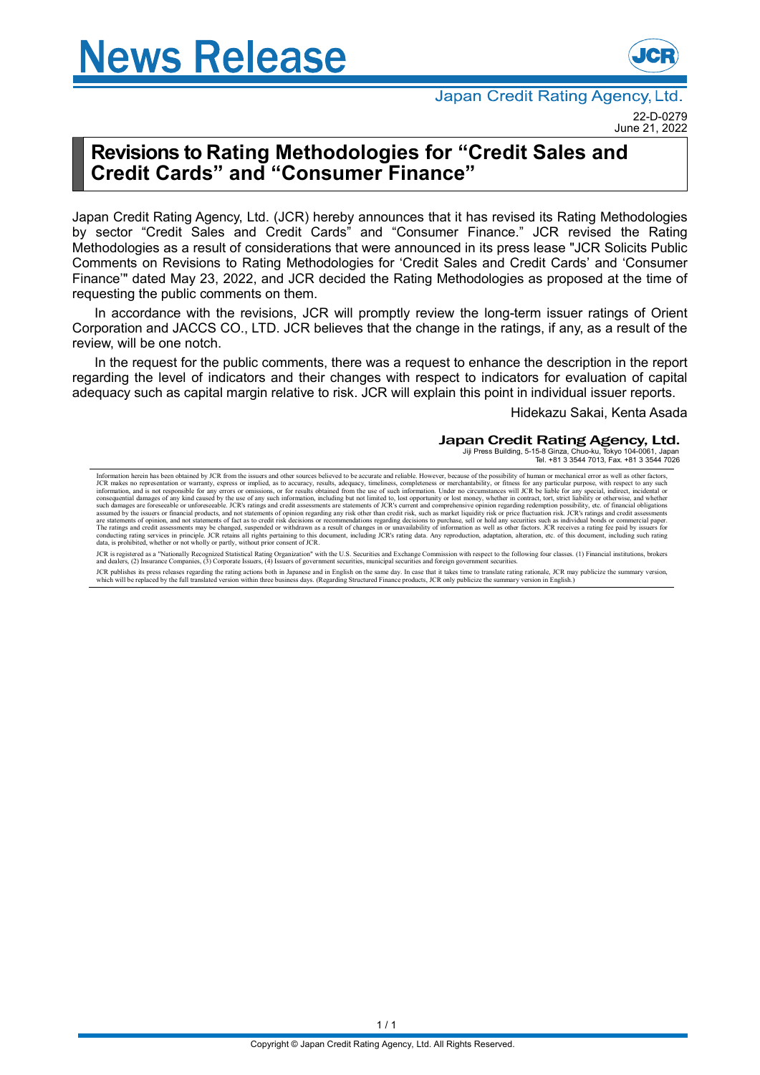# **News Release**



Japan Credit Rating Agency, Ltd. 22-D-0279

June 21, 2022

## **Revisions to Rating Methodologies for "Credit Sales and Credit Cards" and "Consumer Finance"**

Japan Credit Rating Agency, Ltd. (JCR) hereby announces that it has revised its Rating Methodologies by sector "Credit Sales and Credit Cards" and "Consumer Finance." JCR revised the Rating Methodologies as a result of considerations that were announced in its press lease "JCR Solicits Public Comments on Revisions to Rating Methodologies for 'Credit Sales and Credit Cards' and 'Consumer Finance'" dated May 23, 2022, and JCR decided the Rating Methodologies as proposed at the time of requesting the public comments on them.

In accordance with the revisions, JCR will promptly review the long-term issuer ratings of Orient Corporation and JACCS CO., LTD. JCR believes that the change in the ratings, if any, as a result of the review, will be one notch.

In the request for the public comments, there was a request to enhance the description in the report regarding the level of indicators and their changes with respect to indicators for evaluation of capital adequacy such as capital margin relative to risk. JCR will explain this point in individual issuer reports.

Hidekazu Sakai, Kenta Asada

### Japan Credit Rating Agency, Ltd.

Jiji Press Building, 5-15-8 Ginza, Chuo-ku, Tokyo 104-0061, Japan Tel. +81 3 3544 7013, Fax. +81 3 3544 7026

Information herein has been obtained by JCR from the issuers and other sources believed to be accurate and reliable. However, because of the possibility of human or mechanical error as well as other factors.<br>JCR makes no r such damages are foresceable or unforesceable. JCR's ratings and credit assessments are statements of JCR's current and comprehensive opinion regarding redemption possibility, etc. of financial obligations<br>assumed by the i

JCR is registered as a "Nationally Recognized Statistical Rating Organization" with the U.S. Securities and Exchange Commission with respect to the following four classes. (1) Financial institutions, brokers<br>and dealers, (

JCR publishes its press releases regarding the rating actions both in Japanese and in English on the same day. In case that it takes time to translate rating rationale, JCR may publicize the summary version,<br>which will be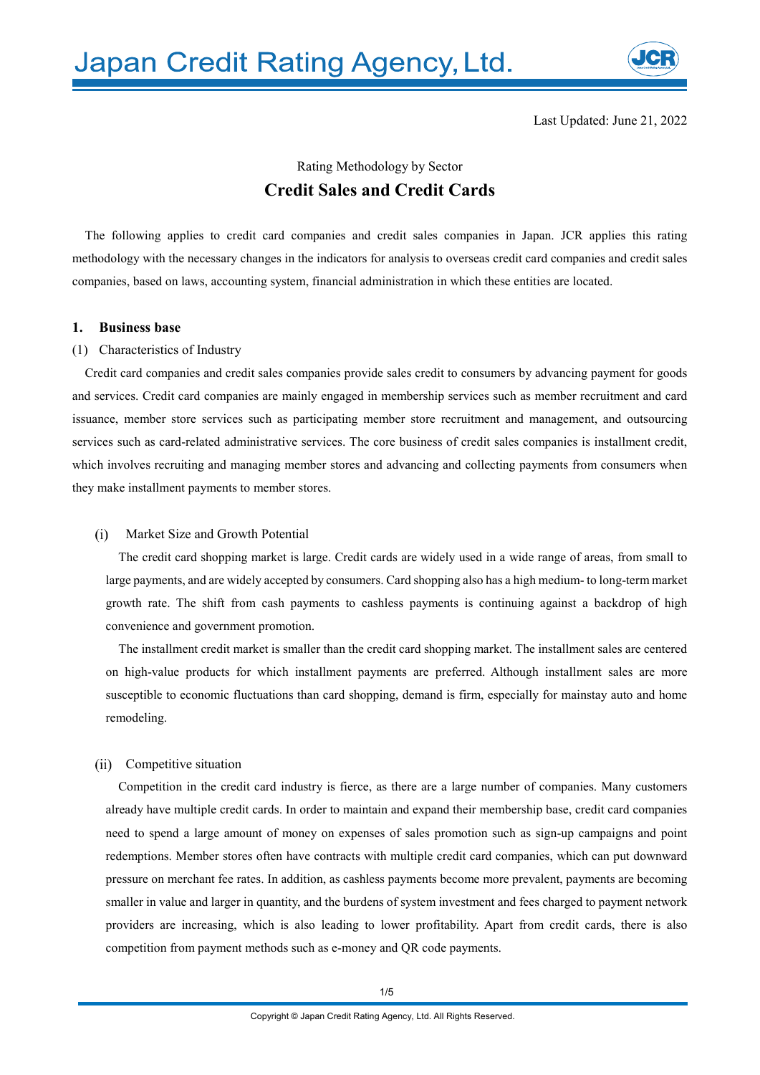

Last Updated: June 21, 2022

### Rating Methodology by Sector **Credit Sales and Credit Cards**

The following applies to credit card companies and credit sales companies in Japan. JCR applies this rating methodology with the necessary changes in the indicators for analysis to overseas credit card companies and credit sales companies, based on laws, accounting system, financial administration in which these entities are located.

### **1. Business base**

### (1) Characteristics of Industry

Credit card companies and credit sales companies provide sales credit to consumers by advancing payment for goods and services. Credit card companies are mainly engaged in membership services such as member recruitment and card issuance, member store services such as participating member store recruitment and management, and outsourcing services such as card-related administrative services. The core business of credit sales companies is installment credit, which involves recruiting and managing member stores and advancing and collecting payments from consumers when they make installment payments to member stores.

#### $(i)$ Market Size and Growth Potential

The credit card shopping market is large. Credit cards are widely used in a wide range of areas, from small to large payments, and are widely accepted by consumers. Card shopping also has a high medium- to long-term market growth rate. The shift from cash payments to cashless payments is continuing against a backdrop of high convenience and government promotion.

The installment credit market is smaller than the credit card shopping market. The installment sales are centered on high-value products for which installment payments are preferred. Although installment sales are more susceptible to economic fluctuations than card shopping, demand is firm, especially for mainstay auto and home remodeling.

### (ii) Competitive situation

Competition in the credit card industry is fierce, as there are a large number of companies. Many customers already have multiple credit cards. In order to maintain and expand their membership base, credit card companies need to spend a large amount of money on expenses of sales promotion such as sign-up campaigns and point redemptions. Member stores often have contracts with multiple credit card companies, which can put downward pressure on merchant fee rates. In addition, as cashless payments become more prevalent, payments are becoming smaller in value and larger in quantity, and the burdens of system investment and fees charged to payment network providers are increasing, which is also leading to lower profitability. Apart from credit cards, there is also competition from payment methods such as e-money and QR code payments.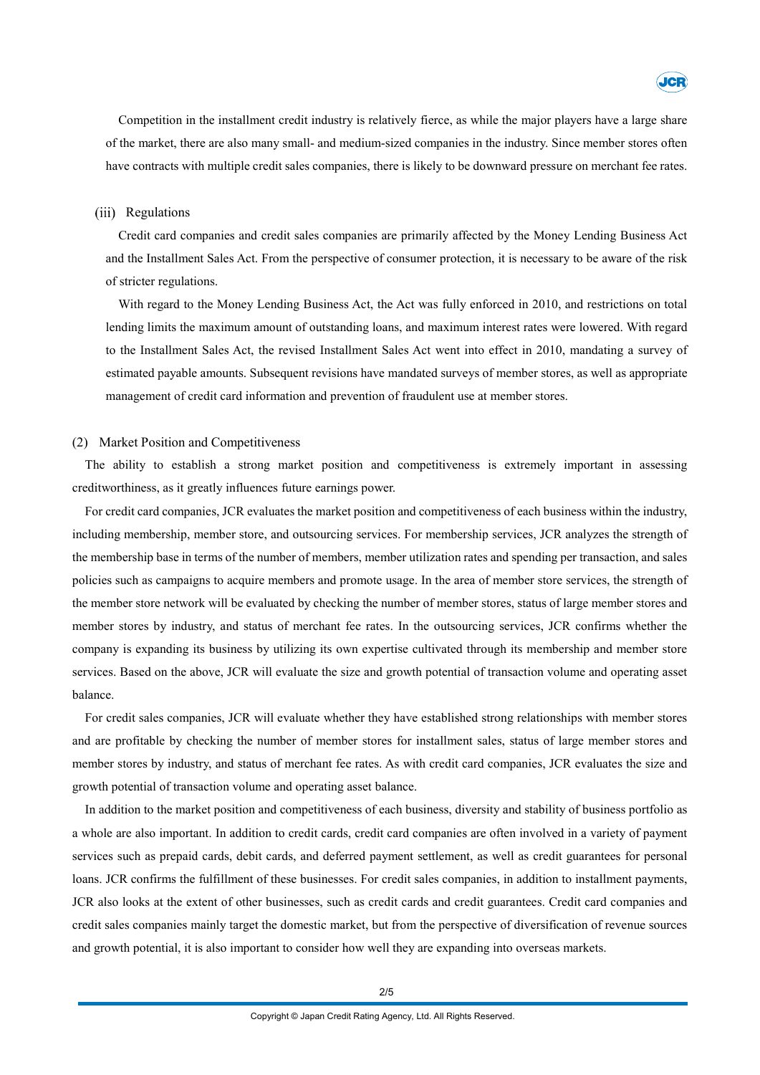

Competition in the installment credit industry is relatively fierce, as while the major players have a large share of the market, there are also many small- and medium-sized companies in the industry. Since member stores often have contracts with multiple credit sales companies, there is likely to be downward pressure on merchant fee rates.

### (iii) Regulations

Credit card companies and credit sales companies are primarily affected by the Money Lending Business Act and the Installment Sales Act. From the perspective of consumer protection, it is necessary to be aware of the risk of stricter regulations.

With regard to the Money Lending Business Act, the Act was fully enforced in 2010, and restrictions on total lending limits the maximum amount of outstanding loans, and maximum interest rates were lowered. With regard to the Installment Sales Act, the revised Installment Sales Act went into effect in 2010, mandating a survey of estimated payable amounts. Subsequent revisions have mandated surveys of member stores, as well as appropriate management of credit card information and prevention of fraudulent use at member stores.

### (2) Market Position and Competitiveness

The ability to establish a strong market position and competitiveness is extremely important in assessing creditworthiness, as it greatly influences future earnings power.

For credit card companies, JCR evaluates the market position and competitiveness of each business within the industry, including membership, member store, and outsourcing services. For membership services, JCR analyzes the strength of the membership base in terms of the number of members, member utilization rates and spending per transaction, and sales policies such as campaigns to acquire members and promote usage. In the area of member store services, the strength of the member store network will be evaluated by checking the number of member stores, status of large member stores and member stores by industry, and status of merchant fee rates. In the outsourcing services, JCR confirms whether the company is expanding its business by utilizing its own expertise cultivated through its membership and member store services. Based on the above, JCR will evaluate the size and growth potential of transaction volume and operating asset balance.

For credit sales companies, JCR will evaluate whether they have established strong relationships with member stores and are profitable by checking the number of member stores for installment sales, status of large member stores and member stores by industry, and status of merchant fee rates. As with credit card companies, JCR evaluates the size and growth potential of transaction volume and operating asset balance.

In addition to the market position and competitiveness of each business, diversity and stability of business portfolio as a whole are also important. In addition to credit cards, credit card companies are often involved in a variety of payment services such as prepaid cards, debit cards, and deferred payment settlement, as well as credit guarantees for personal loans. JCR confirms the fulfillment of these businesses. For credit sales companies, in addition to installment payments, JCR also looks at the extent of other businesses, such as credit cards and credit guarantees. Credit card companies and credit sales companies mainly target the domestic market, but from the perspective of diversification of revenue sources and growth potential, it is also important to consider how well they are expanding into overseas markets.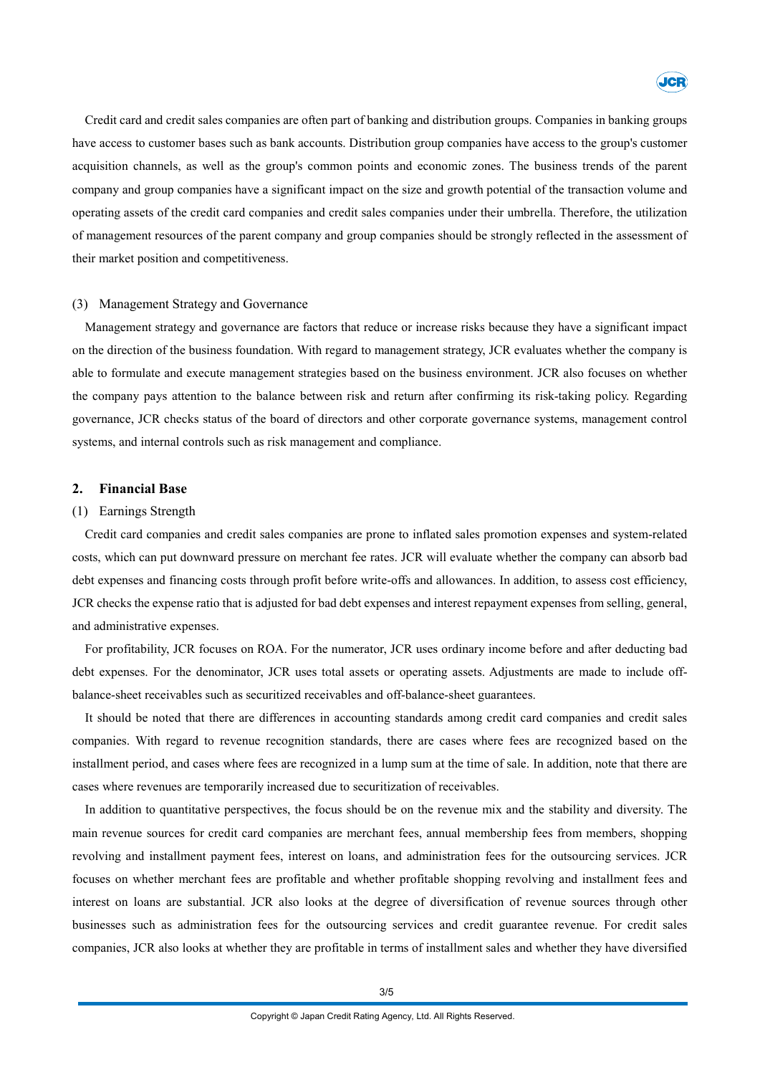

Credit card and credit sales companies are often part of banking and distribution groups. Companies in banking groups have access to customer bases such as bank accounts. Distribution group companies have access to the group's customer acquisition channels, as well as the group's common points and economic zones. The business trends of the parent company and group companies have a significant impact on the size and growth potential of the transaction volume and operating assets of the credit card companies and credit sales companies under their umbrella. Therefore, the utilization of management resources of the parent company and group companies should be strongly reflected in the assessment of their market position and competitiveness.

### (3) Management Strategy and Governance

Management strategy and governance are factors that reduce or increase risks because they have a significant impact on the direction of the business foundation. With regard to management strategy, JCR evaluates whether the company is able to formulate and execute management strategies based on the business environment. JCR also focuses on whether the company pays attention to the balance between risk and return after confirming its risk-taking policy. Regarding governance, JCR checks status of the board of directors and other corporate governance systems, management control systems, and internal controls such as risk management and compliance.

### **2. Financial Base**

#### (1) Earnings Strength

Credit card companies and credit sales companies are prone to inflated sales promotion expenses and system-related costs, which can put downward pressure on merchant fee rates. JCR will evaluate whether the company can absorb bad debt expenses and financing costs through profit before write-offs and allowances. In addition, to assess cost efficiency, JCR checks the expense ratio that is adjusted for bad debt expenses and interest repayment expenses from selling, general, and administrative expenses.

For profitability, JCR focuses on ROA. For the numerator, JCR uses ordinary income before and after deducting bad debt expenses. For the denominator, JCR uses total assets or operating assets. Adjustments are made to include offbalance-sheet receivables such as securitized receivables and off-balance-sheet guarantees.

It should be noted that there are differences in accounting standards among credit card companies and credit sales companies. With regard to revenue recognition standards, there are cases where fees are recognized based on the installment period, and cases where fees are recognized in a lump sum at the time of sale. In addition, note that there are cases where revenues are temporarily increased due to securitization of receivables.

In addition to quantitative perspectives, the focus should be on the revenue mix and the stability and diversity. The main revenue sources for credit card companies are merchant fees, annual membership fees from members, shopping revolving and installment payment fees, interest on loans, and administration fees for the outsourcing services. JCR focuses on whether merchant fees are profitable and whether profitable shopping revolving and installment fees and interest on loans are substantial. JCR also looks at the degree of diversification of revenue sources through other businesses such as administration fees for the outsourcing services and credit guarantee revenue. For credit sales companies, JCR also looks at whether they are profitable in terms of installment sales and whether they have diversified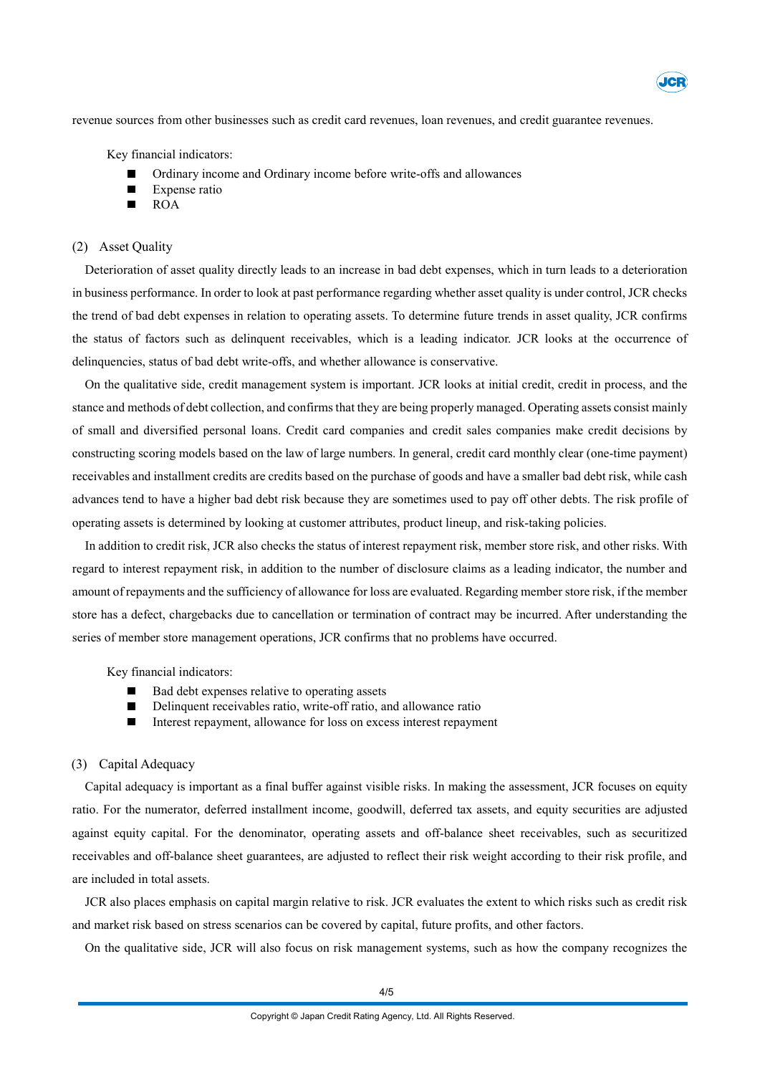

revenue sources from other businesses such as credit card revenues, loan revenues, and credit guarantee revenues.

Key financial indicators:

- Ordinary income and Ordinary income before write-offs and allowances
- Expense ratio
- ROA

### (2) Asset Quality

Deterioration of asset quality directly leads to an increase in bad debt expenses, which in turn leads to a deterioration in business performance. In order to look at past performance regarding whether asset quality is under control, JCR checks the trend of bad debt expenses in relation to operating assets. To determine future trends in asset quality, JCR confirms the status of factors such as delinquent receivables, which is a leading indicator. JCR looks at the occurrence of delinquencies, status of bad debt write-offs, and whether allowance is conservative.

On the qualitative side, credit management system is important. JCR looks at initial credit, credit in process, and the stance and methods of debt collection, and confirmsthat they are being properly managed. Operating assets consist mainly of small and diversified personal loans. Credit card companies and credit sales companies make credit decisions by constructing scoring models based on the law of large numbers. In general, credit card monthly clear (one-time payment) receivables and installment credits are credits based on the purchase of goods and have a smaller bad debt risk, while cash advances tend to have a higher bad debt risk because they are sometimes used to pay off other debts. The risk profile of operating assets is determined by looking at customer attributes, product lineup, and risk-taking policies.

In addition to credit risk, JCR also checks the status of interest repayment risk, member store risk, and other risks. With regard to interest repayment risk, in addition to the number of disclosure claims as a leading indicator, the number and amount of repayments and the sufficiency of allowance for loss are evaluated. Regarding member store risk, if the member store has a defect, chargebacks due to cancellation or termination of contract may be incurred. After understanding the series of member store management operations, JCR confirms that no problems have occurred.

Key financial indicators:

- Bad debt expenses relative to operating assets
- Delinquent receivables ratio, write-off ratio, and allowance ratio
- $\blacksquare$ Interest repayment, allowance for loss on excess interest repayment

### (3) Capital Adequacy

Capital adequacy is important as a final buffer against visible risks. In making the assessment, JCR focuses on equity ratio. For the numerator, deferred installment income, goodwill, deferred tax assets, and equity securities are adjusted against equity capital. For the denominator, operating assets and off-balance sheet receivables, such as securitized receivables and off-balance sheet guarantees, are adjusted to reflect their risk weight according to their risk profile, and are included in total assets.

JCR also places emphasis on capital margin relative to risk. JCR evaluates the extent to which risks such as credit risk and market risk based on stress scenarios can be covered by capital, future profits, and other factors.

On the qualitative side, JCR will also focus on risk management systems, such as how the company recognizes the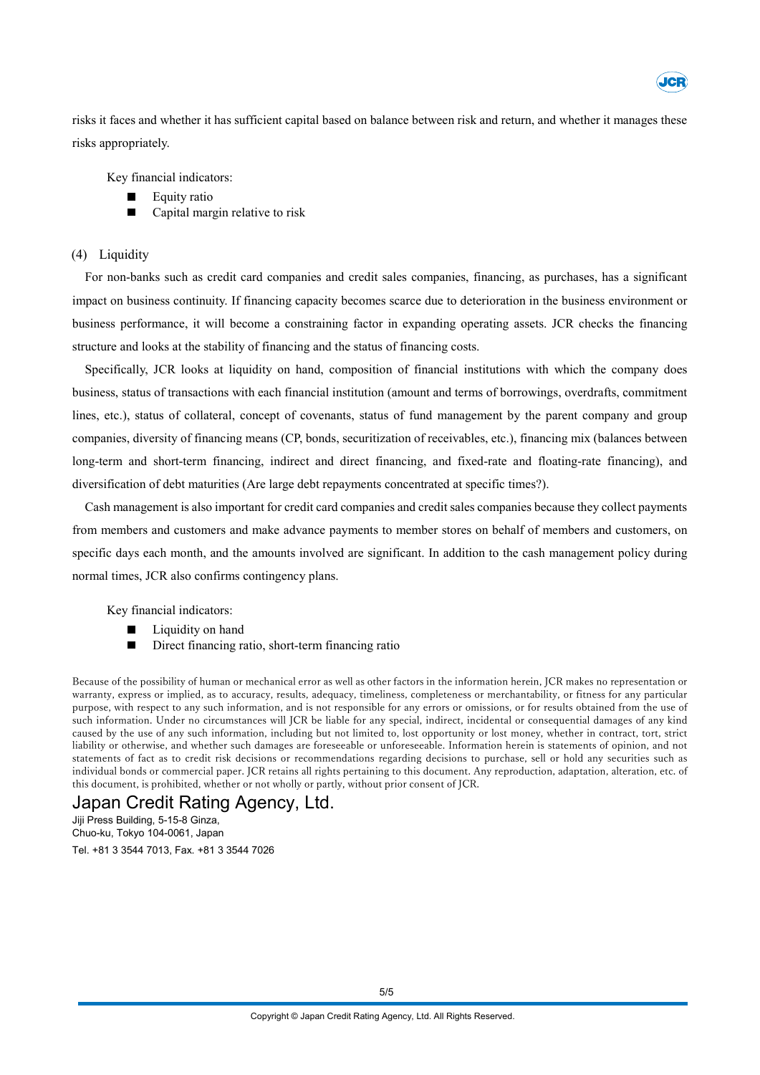

risks it faces and whether it has sufficient capital based on balance between risk and return, and whether it manages these risks appropriately.

Key financial indicators:

- Equity ratio
- Capital margin relative to risk

### (4) Liquidity

For non-banks such as credit card companies and credit sales companies, financing, as purchases, has a significant impact on business continuity. If financing capacity becomes scarce due to deterioration in the business environment or business performance, it will become a constraining factor in expanding operating assets. JCR checks the financing structure and looks at the stability of financing and the status of financing costs.

Specifically, JCR looks at liquidity on hand, composition of financial institutions with which the company does business, status of transactions with each financial institution (amount and terms of borrowings, overdrafts, commitment lines, etc.), status of collateral, concept of covenants, status of fund management by the parent company and group companies, diversity of financing means (CP, bonds, securitization of receivables, etc.), financing mix (balances between long-term and short-term financing, indirect and direct financing, and fixed-rate and floating-rate financing), and diversification of debt maturities (Are large debt repayments concentrated at specific times?).

Cash management is also important for credit card companies and credit sales companies because they collect payments from members and customers and make advance payments to member stores on behalf of members and customers, on specific days each month, and the amounts involved are significant. In addition to the cash management policy during normal times, JCR also confirms contingency plans.

Key financial indicators:

- Liquidity on hand
- П Direct financing ratio, short-term financing ratio

Because of the possibility of human or mechanical error as well as other factors in the information herein, JCR makes no representation or warranty, express or implied, as to accuracy, results, adequacy, timeliness, completeness or merchantability, or fitness for any particular purpose, with respect to any such information, and is not responsible for any errors or omissions, or for results obtained from the use of such information. Under no circumstances will JCR be liable for any special, indirect, incidental or consequential damages of any kind caused by the use of any such information, including but not limited to, lost opportunity or lost money, whether in contract, tort, strict liability or otherwise, and whether such damages are foreseeable or unforeseeable. Information herein is statements of opinion, and not statements of fact as to credit risk decisions or recommendations regarding decisions to purchase, sell or hold any securities such as individual bonds or commercial paper. JCR retains all rights pertaining to this document. Any reproduction, adaptation, alteration, etc. of this document, is prohibited, whether or not wholly or partly, without prior consent of JCR.

### Japan Credit Rating Agency, Ltd.

Jiji Press Building, 5-15-8 Ginza, Chuo-ku, Tokyo 104-0061, Japan Tel. +81 3 3544 7013, Fax. +81 3 3544 7026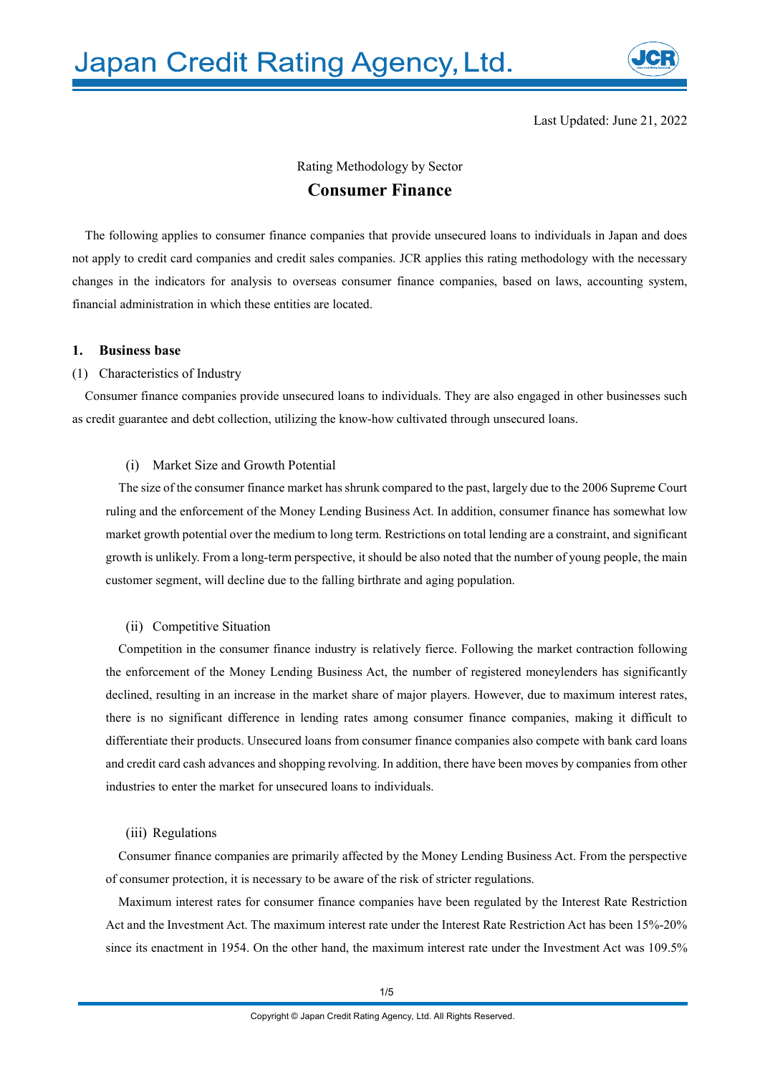

Last Updated: June 21, 2022

### Rating Methodology by Sector **Consumer Finance**

The following applies to consumer finance companies that provide unsecured loans to individuals in Japan and does not apply to credit card companies and credit sales companies. JCR applies this rating methodology with the necessary changes in the indicators for analysis to overseas consumer finance companies, based on laws, accounting system, financial administration in which these entities are located.

### **1. Business base**

### (1) Characteristics of Industry

Consumer finance companies provide unsecured loans to individuals. They are also engaged in other businesses such as credit guarantee and debt collection, utilizing the know-how cultivated through unsecured loans.

### (i) Market Size and Growth Potential

The size of the consumer finance market has shrunk compared to the past, largely due to the 2006 Supreme Court ruling and the enforcement of the Money Lending Business Act. In addition, consumer finance has somewhat low market growth potential over the medium to long term. Restrictions on total lending are a constraint, and significant growth is unlikely. From a long-term perspective, it should be also noted that the number of young people, the main customer segment, will decline due to the falling birthrate and aging population.

### (ii) Competitive Situation

Competition in the consumer finance industry is relatively fierce. Following the market contraction following the enforcement of the Money Lending Business Act, the number of registered moneylenders has significantly declined, resulting in an increase in the market share of major players. However, due to maximum interest rates, there is no significant difference in lending rates among consumer finance companies, making it difficult to differentiate their products. Unsecured loans from consumer finance companies also compete with bank card loans and credit card cash advances and shopping revolving. In addition, there have been moves by companies from other industries to enter the market for unsecured loans to individuals.

### (iii) Regulations

Consumer finance companies are primarily affected by the Money Lending Business Act. From the perspective of consumer protection, it is necessary to be aware of the risk of stricter regulations.

Maximum interest rates for consumer finance companies have been regulated by the Interest Rate Restriction Act and the Investment Act. The maximum interest rate under the Interest Rate Restriction Act has been 15%-20% since its enactment in 1954. On the other hand, the maximum interest rate under the Investment Act was 109.5%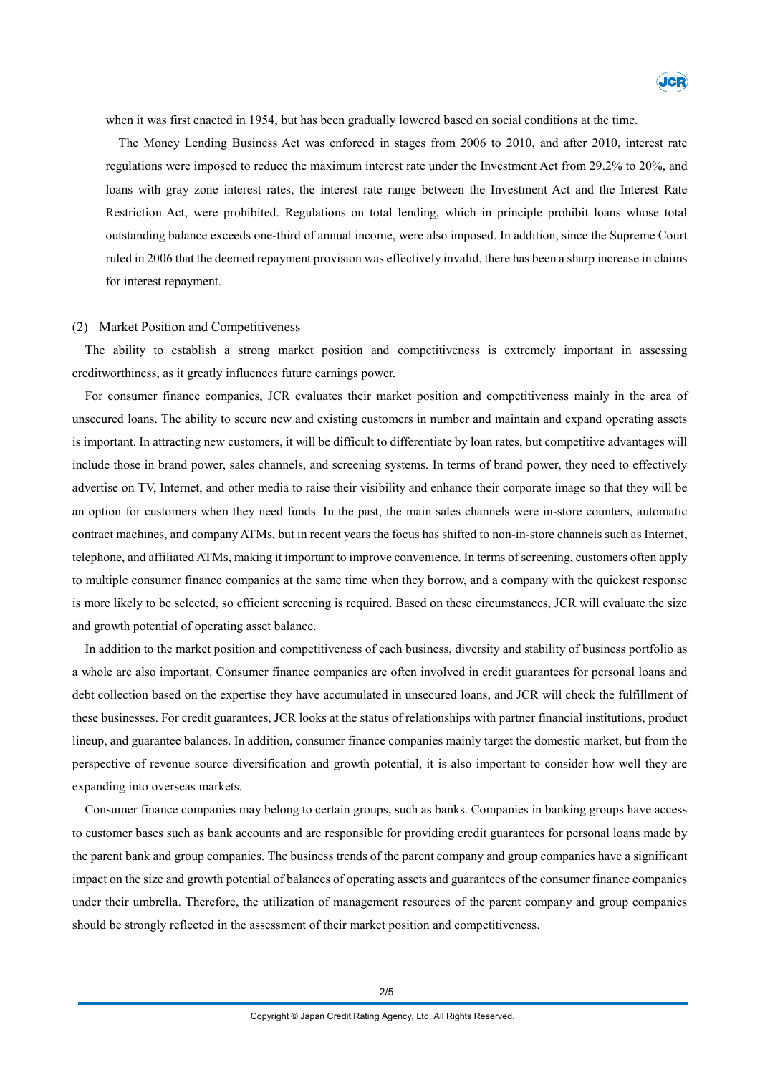

when it was first enacted in 1954, but has been gradually lowered based on social conditions at the time.

The Money Lending Business Act was enforced in stages from 2006 to 2010, and after 2010, interest rate regulations were imposed to reduce the maximum interest rate under the Investment Act from 29.2% to 20%, and loans with gray zone interest rates, the interest rate range between the Investment Act and the Interest Rate Restriction Act, were prohibited. Regulations on total lending, which in principle prohibit loans whose total outstanding balance exceeds one-third of annual income, were also imposed. In addition, since the Supreme Court ruled in 2006 that the deemed repayment provision was effectively invalid, there has been a sharp increase in claims for interest repayment.

### (2) Market Position and Competitiveness

The ability to establish a strong market position and competitiveness is extremely important in assessing creditworthiness, as it greatly influences future earnings power.

For consumer finance companies, JCR evaluates their market position and competitiveness mainly in the area of unsecured loans. The ability to secure new and existing customers in number and maintain and expand operating assets is important. In attracting new customers, it will be difficult to differentiate by loan rates, but competitive advantages will include those in brand power, sales channels, and screening systems. In terms of brand power, they need to effectively advertise on TV, Internet, and other media to raise their visibility and enhance their corporate image so that they will be an option for customers when they need funds. In the past, the main sales channels were in-store counters, automatic contract machines, and company ATMs, but in recent years the focus has shifted to non-in-store channels such as Internet, telephone, and affiliated ATMs, making it important to improve convenience. In terms of screening, customers often apply to multiple consumer finance companies at the same time when they borrow, and a company with the quickest response is more likely to be selected, so efficient screening is required. Based on these circumstances, JCR will evaluate the size and growth potential of operating asset balance.

In addition to the market position and competitiveness of each business, diversity and stability of business portfolio as a whole are also important. Consumer finance companies are often involved in credit guarantees for personal loans and debt collection based on the expertise they have accumulated in unsecured loans, and JCR will check the fulfillment of these businesses. For credit guarantees, JCR looks at the status of relationships with partner financial institutions, product lineup, and guarantee balances. In addition, consumer finance companies mainly target the domestic market, but from the perspective of revenue source diversification and growth potential, it is also important to consider how well they are expanding into overseas markets.

Consumer finance companies may belong to certain groups, such as banks. Companies in banking groups have access to customer bases such as bank accounts and are responsible for providing credit guarantees for personal loans made by the parent bank and group companies. The business trends of the parent company and group companies have a significant impact on the size and growth potential of balances of operating assets and guarantees of the consumer finance companies under their umbrella. Therefore, the utilization of management resources of the parent company and group companies should be strongly reflected in the assessment of their market position and competitiveness.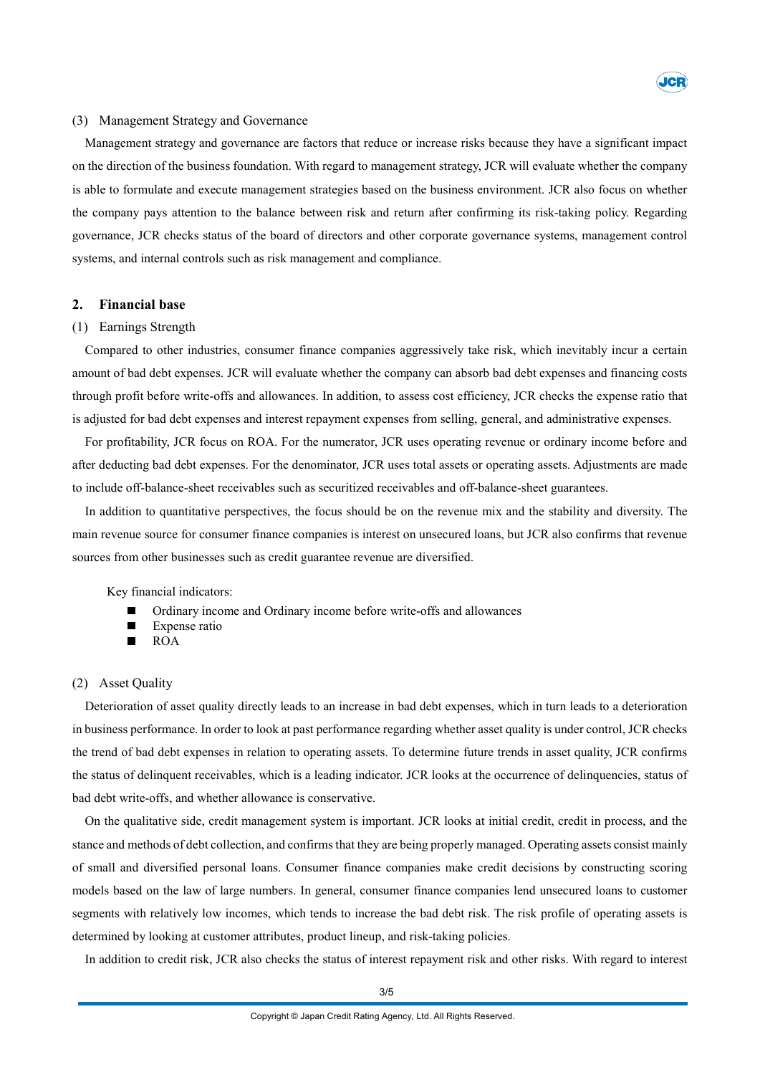

#### (3) Management Strategy and Governance

Management strategy and governance are factors that reduce or increase risks because they have a significant impact on the direction of the business foundation. With regard to management strategy, JCR will evaluate whether the company is able to formulate and execute management strategies based on the business environment. JCR also focus on whether the company pays attention to the balance between risk and return after confirming its risk-taking policy. Regarding governance, JCR checks status of the board of directors and other corporate governance systems, management control systems, and internal controls such as risk management and compliance.

### **2. Financial base**

### (1) Earnings Strength

Compared to other industries, consumer finance companies aggressively take risk, which inevitably incur a certain amount of bad debt expenses. JCR will evaluate whether the company can absorb bad debt expenses and financing costs through profit before write-offs and allowances. In addition, to assess cost efficiency, JCR checks the expense ratio that is adjusted for bad debt expenses and interest repayment expenses from selling, general, and administrative expenses.

For profitability, JCR focus on ROA. For the numerator, JCR uses operating revenue or ordinary income before and after deducting bad debt expenses. For the denominator, JCR uses total assets or operating assets. Adjustments are made to include off-balance-sheet receivables such as securitized receivables and off-balance-sheet guarantees.

In addition to quantitative perspectives, the focus should be on the revenue mix and the stability and diversity. The main revenue source for consumer finance companies is interest on unsecured loans, but JCR also confirms that revenue sources from other businesses such as credit guarantee revenue are diversified.

Key financial indicators:

- Ordinary income and Ordinary income before write-offs and allowances
- Expense ratio
- ROA

### (2) Asset Quality

Deterioration of asset quality directly leads to an increase in bad debt expenses, which in turn leads to a deterioration in business performance. In order to look at past performance regarding whether asset quality is under control, JCR checks the trend of bad debt expenses in relation to operating assets. To determine future trends in asset quality, JCR confirms the status of delinquent receivables, which is a leading indicator. JCR looks at the occurrence of delinquencies, status of bad debt write-offs, and whether allowance is conservative.

On the qualitative side, credit management system is important. JCR looks at initial credit, credit in process, and the stance and methods of debt collection, and confirmsthat they are being properly managed. Operating assets consist mainly of small and diversified personal loans. Consumer finance companies make credit decisions by constructing scoring models based on the law of large numbers. In general, consumer finance companies lend unsecured loans to customer segments with relatively low incomes, which tends to increase the bad debt risk. The risk profile of operating assets is determined by looking at customer attributes, product lineup, and risk-taking policies.

In addition to credit risk, JCR also checks the status of interest repayment risk and other risks. With regard to interest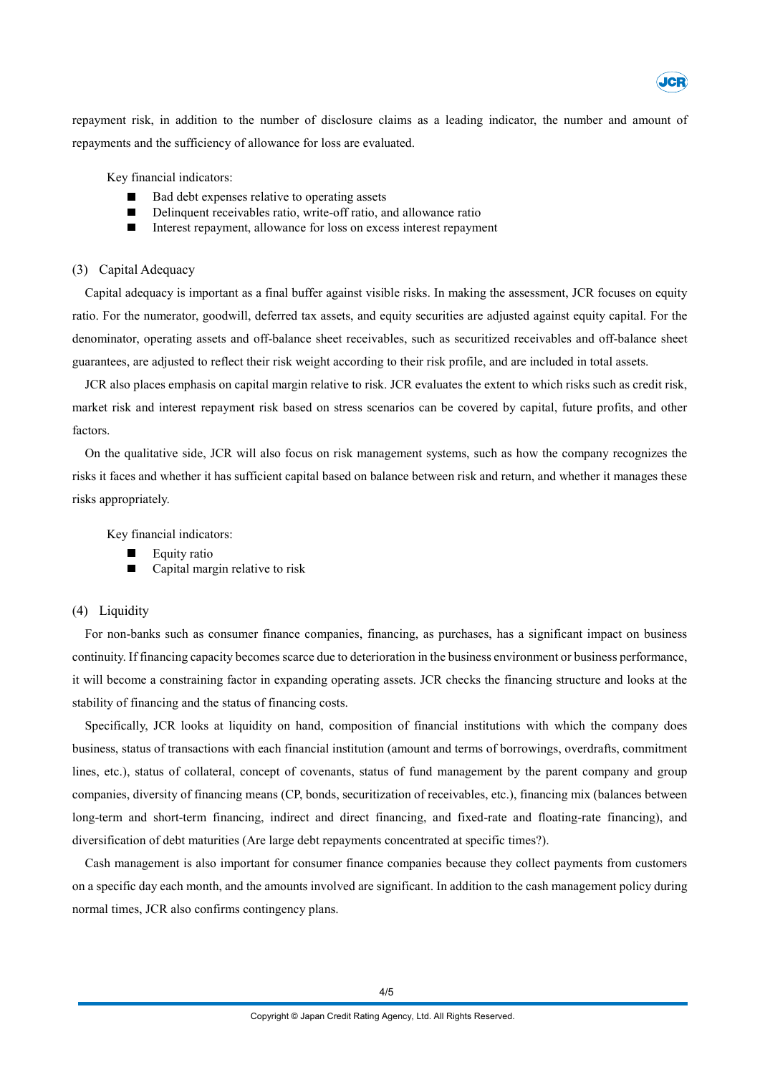

repayment risk, in addition to the number of disclosure claims as a leading indicator, the number and amount of repayments and the sufficiency of allowance for loss are evaluated.

Key financial indicators:

- Bad debt expenses relative to operating assets
- Delinquent receivables ratio, write-off ratio, and allowance ratio
- $\blacksquare$ Interest repayment, allowance for loss on excess interest repayment

### (3) Capital Adequacy

Capital adequacy is important as a final buffer against visible risks. In making the assessment, JCR focuses on equity ratio. For the numerator, goodwill, deferred tax assets, and equity securities are adjusted against equity capital. For the denominator, operating assets and off-balance sheet receivables, such as securitized receivables and off-balance sheet guarantees, are adjusted to reflect their risk weight according to their risk profile, and are included in total assets.

JCR also places emphasis on capital margin relative to risk. JCR evaluates the extent to which risks such as credit risk, market risk and interest repayment risk based on stress scenarios can be covered by capital, future profits, and other factors.

On the qualitative side, JCR will also focus on risk management systems, such as how the company recognizes the risks it faces and whether it has sufficient capital based on balance between risk and return, and whether it manages these risks appropriately.

Key financial indicators:

- Equity ratio
- Capital margin relative to risk

### (4) Liquidity

For non-banks such as consumer finance companies, financing, as purchases, has a significant impact on business continuity. If financing capacity becomes scarce due to deterioration in the business environment or business performance, it will become a constraining factor in expanding operating assets. JCR checks the financing structure and looks at the stability of financing and the status of financing costs.

Specifically, JCR looks at liquidity on hand, composition of financial institutions with which the company does business, status of transactions with each financial institution (amount and terms of borrowings, overdrafts, commitment lines, etc.), status of collateral, concept of covenants, status of fund management by the parent company and group companies, diversity of financing means (CP, bonds, securitization of receivables, etc.), financing mix (balances between long-term and short-term financing, indirect and direct financing, and fixed-rate and floating-rate financing), and diversification of debt maturities (Are large debt repayments concentrated at specific times?).

Cash management is also important for consumer finance companies because they collect payments from customers on a specific day each month, and the amounts involved are significant. In addition to the cash management policy during normal times, JCR also confirms contingency plans.